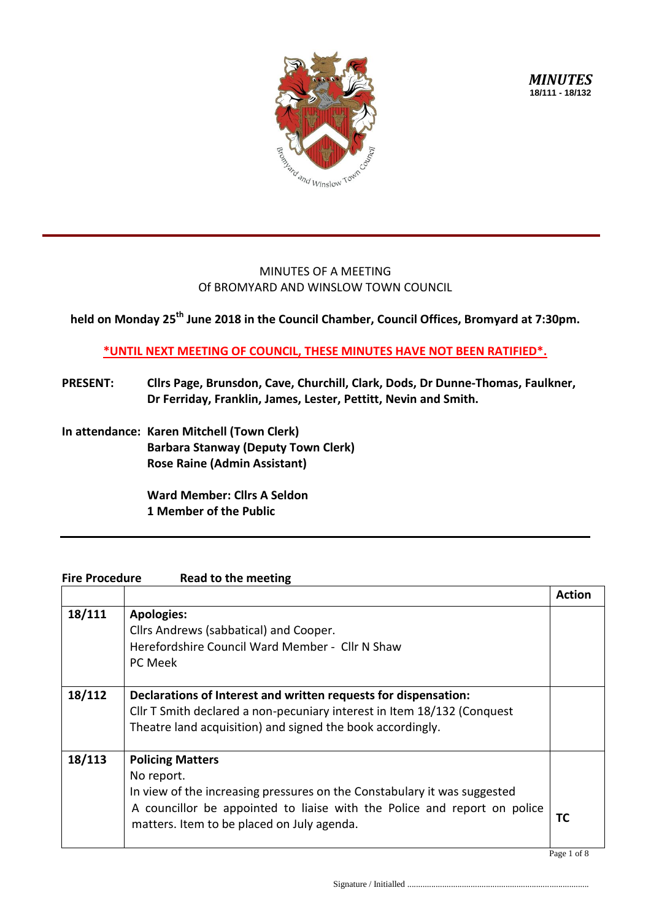

## MINUTES OF A MEETING Of BROMYARD AND WINSLOW TOWN COUNCIL

**held on Monday 25th June 2018 in the Council Chamber, Council Offices, Bromyard at 7:30pm.**

**\*UNTIL NEXT MEETING OF COUNCIL, THESE MINUTES HAVE NOT BEEN RATIFIED\*.**

- **PRESENT: Cllrs Page, Brunsdon, Cave, Churchill, Clark, Dods, Dr Dunne-Thomas, Faulkner, Dr Ferriday, Franklin, James, Lester, Pettitt, Nevin and Smith.**
- **In attendance: Karen Mitchell (Town Clerk) Barbara Stanway (Deputy Town Clerk) Rose Raine (Admin Assistant)**

**Ward Member: Cllrs A Seldon 1 Member of the Public**

## **Fire Procedure Read to the meeting**

|        |                                                                                                                                                                                                                                             | Action |
|--------|---------------------------------------------------------------------------------------------------------------------------------------------------------------------------------------------------------------------------------------------|--------|
| 18/111 | <b>Apologies:</b><br>Cllrs Andrews (sabbatical) and Cooper.<br>Herefordshire Council Ward Member - Cllr N Shaw<br>PC Meek                                                                                                                   |        |
| 18/112 | Declarations of Interest and written requests for dispensation:<br>Cllr T Smith declared a non-pecuniary interest in Item 18/132 (Conquest<br>Theatre land acquisition) and signed the book accordingly.                                    |        |
| 18/113 | <b>Policing Matters</b><br>No report.<br>In view of the increasing pressures on the Constabulary it was suggested<br>A councillor be appointed to liaise with the Police and report on police<br>matters. Item to be placed on July agenda. | ТC     |

Page 1 of 8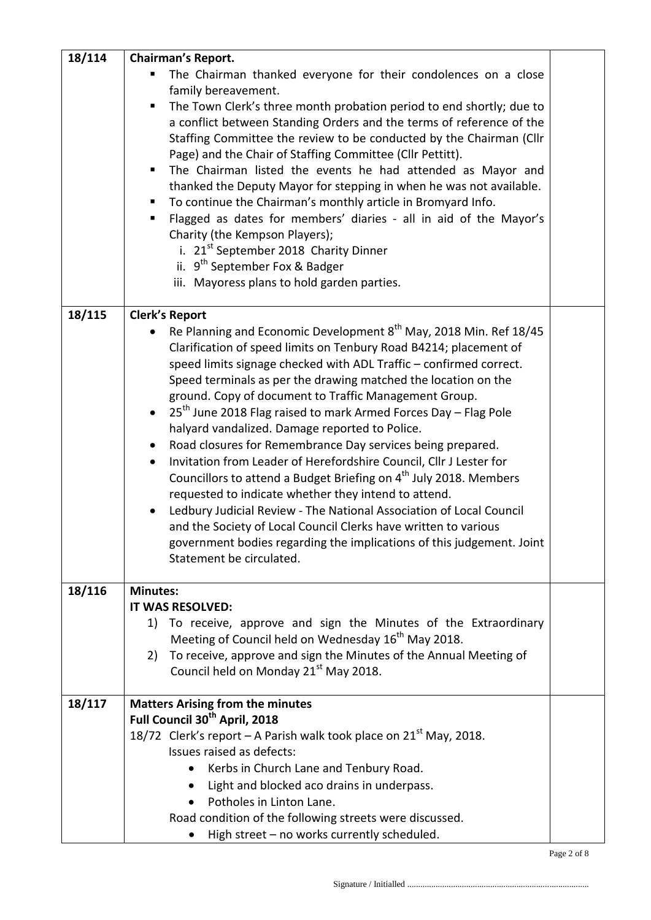| 18/114 | <b>Chairman's Report.</b>                                                                |  |
|--------|------------------------------------------------------------------------------------------|--|
|        | The Chairman thanked everyone for their condolences on a close<br>٠                      |  |
|        | family bereavement.                                                                      |  |
|        | The Town Clerk's three month probation period to end shortly; due to<br>Ξ                |  |
|        | a conflict between Standing Orders and the terms of reference of the                     |  |
|        | Staffing Committee the review to be conducted by the Chairman (Cllr                      |  |
|        | Page) and the Chair of Staffing Committee (Cllr Pettitt).                                |  |
|        | The Chairman listed the events he had attended as Mayor and<br>٠                         |  |
|        | thanked the Deputy Mayor for stepping in when he was not available.                      |  |
|        | To continue the Chairman's monthly article in Bromyard Info.<br>п                        |  |
|        | Flagged as dates for members' diaries - all in aid of the Mayor's<br>п                   |  |
|        | Charity (the Kempson Players);                                                           |  |
|        | i. 21 <sup>st</sup> September 2018 Charity Dinner                                        |  |
|        | ii. 9 <sup>th</sup> September Fox & Badger                                               |  |
|        | iii. Mayoress plans to hold garden parties.                                              |  |
| 18/115 | <b>Clerk's Report</b>                                                                    |  |
|        | Re Planning and Economic Development 8 <sup>th</sup> May, 2018 Min. Ref 18/45            |  |
|        | Clarification of speed limits on Tenbury Road B4214; placement of                        |  |
|        | speed limits signage checked with ADL Traffic - confirmed correct.                       |  |
|        | Speed terminals as per the drawing matched the location on the                           |  |
|        | ground. Copy of document to Traffic Management Group.                                    |  |
|        | 25 <sup>th</sup> June 2018 Flag raised to mark Armed Forces Day - Flag Pole<br>$\bullet$ |  |
|        | halyard vandalized. Damage reported to Police.                                           |  |
|        | Road closures for Remembrance Day services being prepared.<br>$\bullet$                  |  |
|        | Invitation from Leader of Herefordshire Council, Cllr J Lester for                       |  |
|        | Councillors to attend a Budget Briefing on 4 <sup>th</sup> July 2018. Members            |  |
|        | requested to indicate whether they intend to attend.                                     |  |
|        | Ledbury Judicial Review - The National Association of Local Council<br>$\bullet$         |  |
|        | and the Society of Local Council Clerks have written to various                          |  |
|        | government bodies regarding the implications of this judgement. Joint                    |  |
|        | Statement be circulated.                                                                 |  |
|        |                                                                                          |  |
| 18/116 | <b>Minutes:</b><br>IT WAS RESOLVED:                                                      |  |
|        | To receive, approve and sign the Minutes of the Extraordinary<br>1)                      |  |
|        | Meeting of Council held on Wednesday 16 <sup>th</sup> May 2018.                          |  |
|        | To receive, approve and sign the Minutes of the Annual Meeting of<br>2)                  |  |
|        | Council held on Monday 21 <sup>st</sup> May 2018.                                        |  |
| 18/117 | <b>Matters Arising from the minutes</b>                                                  |  |
|        | Full Council 30 <sup>th</sup> April, 2018                                                |  |
|        | 18/72 Clerk's report – A Parish walk took place on $21st$ May, 2018.                     |  |
|        | Issues raised as defects:                                                                |  |
|        | Kerbs in Church Lane and Tenbury Road.                                                   |  |
|        | Light and blocked aco drains in underpass.                                               |  |
|        | Potholes in Linton Lane.                                                                 |  |
|        | Road condition of the following streets were discussed.                                  |  |
|        | High street - no works currently scheduled.                                              |  |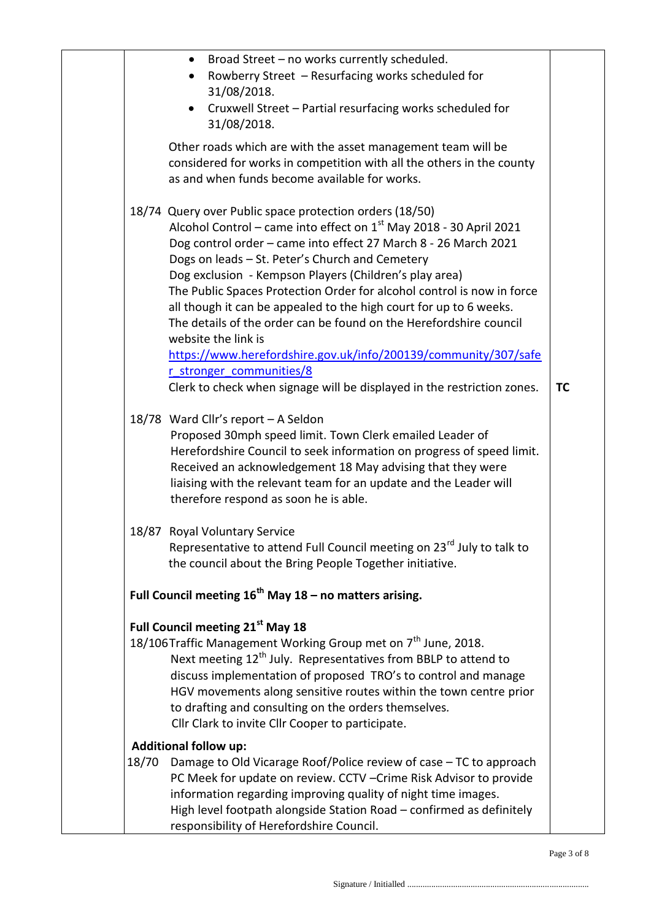|       | Broad Street - no works currently scheduled.<br>$\bullet$                                                                                |           |
|-------|------------------------------------------------------------------------------------------------------------------------------------------|-----------|
|       | Rowberry Street - Resurfacing works scheduled for<br>$\bullet$                                                                           |           |
|       | 31/08/2018.                                                                                                                              |           |
|       | Cruxwell Street - Partial resurfacing works scheduled for<br>$\bullet$<br>31/08/2018.                                                    |           |
|       |                                                                                                                                          |           |
|       | Other roads which are with the asset management team will be                                                                             |           |
|       | considered for works in competition with all the others in the county<br>as and when funds become available for works.                   |           |
|       |                                                                                                                                          |           |
|       | 18/74 Query over Public space protection orders (18/50)                                                                                  |           |
|       | Alcohol Control – came into effect on $1st$ May 2018 - 30 April 2021                                                                     |           |
|       | Dog control order - came into effect 27 March 8 - 26 March 2021                                                                          |           |
|       | Dogs on leads - St. Peter's Church and Cemetery                                                                                          |           |
|       | Dog exclusion - Kempson Players (Children's play area)                                                                                   |           |
|       | The Public Spaces Protection Order for alcohol control is now in force                                                                   |           |
|       | all though it can be appealed to the high court for up to 6 weeks.<br>The details of the order can be found on the Herefordshire council |           |
|       | website the link is                                                                                                                      |           |
|       | https://www.herefordshire.gov.uk/info/200139/community/307/safe                                                                          |           |
|       | r stronger communities/8                                                                                                                 |           |
|       | Clerk to check when signage will be displayed in the restriction zones.                                                                  | <b>TC</b> |
|       | 18/78 Ward Cllr's report - A Seldon                                                                                                      |           |
|       | Proposed 30mph speed limit. Town Clerk emailed Leader of                                                                                 |           |
|       | Herefordshire Council to seek information on progress of speed limit.                                                                    |           |
|       | Received an acknowledgement 18 May advising that they were                                                                               |           |
|       | liaising with the relevant team for an update and the Leader will<br>therefore respond as soon he is able.                               |           |
|       | 18/87 Royal Voluntary Service                                                                                                            |           |
|       | Representative to attend Full Council meeting on 23 <sup>rd</sup> July to talk to                                                        |           |
|       | the council about the Bring People Together initiative.                                                                                  |           |
|       | Full Council meeting $16^{th}$ May 18 – no matters arising.                                                                              |           |
|       | Full Council meeting 21 <sup>st</sup> May 18                                                                                             |           |
|       | 18/106Traffic Management Working Group met on 7 <sup>th</sup> June, 2018.                                                                |           |
|       | Next meeting 12 <sup>th</sup> July. Representatives from BBLP to attend to                                                               |           |
|       | discuss implementation of proposed TRO's to control and manage                                                                           |           |
|       | HGV movements along sensitive routes within the town centre prior                                                                        |           |
|       | to drafting and consulting on the orders themselves.<br>Cllr Clark to invite Cllr Cooper to participate.                                 |           |
|       | <b>Additional follow up:</b>                                                                                                             |           |
| 18/70 | Damage to Old Vicarage Roof/Police review of case - TC to approach                                                                       |           |
|       | PC Meek for update on review. CCTV - Crime Risk Advisor to provide                                                                       |           |
|       |                                                                                                                                          |           |
|       | information regarding improving quality of night time images.<br>High level footpath alongside Station Road - confirmed as definitely    |           |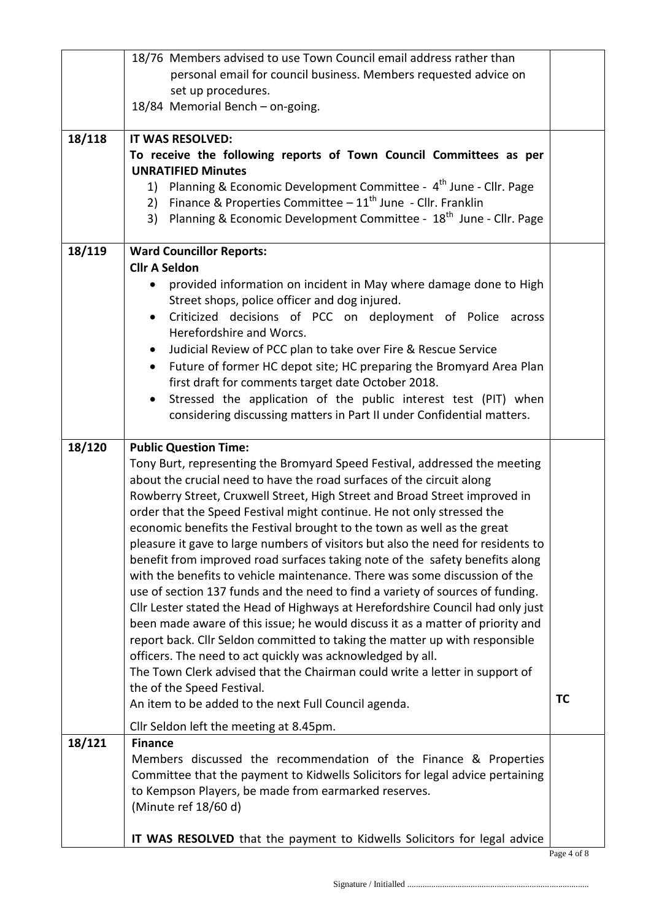|        | 18/76 Members advised to use Town Council email address rather than                                                                                       |    |  |
|--------|-----------------------------------------------------------------------------------------------------------------------------------------------------------|----|--|
|        | personal email for council business. Members requested advice on                                                                                          |    |  |
|        | set up procedures.                                                                                                                                        |    |  |
|        | 18/84 Memorial Bench - on-going.                                                                                                                          |    |  |
| 18/118 | IT WAS RESOLVED:                                                                                                                                          |    |  |
|        | To receive the following reports of Town Council Committees as per                                                                                        |    |  |
|        | <b>UNRATIFIED Minutes</b>                                                                                                                                 |    |  |
|        | 1) Planning & Economic Development Committee - 4 <sup>th</sup> June - Cllr. Page<br>Finance & Properties Committee $-11^{th}$ June - Cllr. Franklin<br>2) |    |  |
|        | Planning & Economic Development Committee - 18 <sup>th</sup> June - Cllr. Page<br>3)                                                                      |    |  |
|        |                                                                                                                                                           |    |  |
| 18/119 | <b>Ward Councillor Reports:</b>                                                                                                                           |    |  |
|        | <b>Cllr A Seldon</b>                                                                                                                                      |    |  |
|        | provided information on incident in May where damage done to High<br>$\bullet$<br>Street shops, police officer and dog injured.                           |    |  |
|        | Criticized decisions of PCC on deployment of Police across<br>$\bullet$                                                                                   |    |  |
|        | Herefordshire and Worcs.                                                                                                                                  |    |  |
|        | Judicial Review of PCC plan to take over Fire & Rescue Service<br>$\bullet$                                                                               |    |  |
|        | Future of former HC depot site; HC preparing the Bromyard Area Plan<br>$\bullet$                                                                          |    |  |
|        | first draft for comments target date October 2018.                                                                                                        |    |  |
|        | Stressed the application of the public interest test (PIT) when<br>$\bullet$                                                                              |    |  |
|        | considering discussing matters in Part II under Confidential matters.                                                                                     |    |  |
| 18/120 | <b>Public Question Time:</b>                                                                                                                              |    |  |
|        | Tony Burt, representing the Bromyard Speed Festival, addressed the meeting                                                                                |    |  |
|        | about the crucial need to have the road surfaces of the circuit along                                                                                     |    |  |
|        | Rowberry Street, Cruxwell Street, High Street and Broad Street improved in                                                                                |    |  |
|        | order that the Speed Festival might continue. He not only stressed the<br>economic benefits the Festival brought to the town as well as the great         |    |  |
|        | pleasure it gave to large numbers of visitors but also the need for residents to                                                                          |    |  |
|        | benefit from improved road surfaces taking note of the safety benefits along                                                                              |    |  |
|        | with the benefits to vehicle maintenance. There was some discussion of the                                                                                |    |  |
|        | use of section 137 funds and the need to find a variety of sources of funding.                                                                            |    |  |
|        | Cllr Lester stated the Head of Highways at Herefordshire Council had only just                                                                            |    |  |
|        | been made aware of this issue; he would discuss it as a matter of priority and                                                                            |    |  |
|        | report back. Cllr Seldon committed to taking the matter up with responsible<br>officers. The need to act quickly was acknowledged by all.                 |    |  |
|        | The Town Clerk advised that the Chairman could write a letter in support of                                                                               |    |  |
|        | the of the Speed Festival.                                                                                                                                |    |  |
|        | An item to be added to the next Full Council agenda.                                                                                                      | TC |  |
|        | Cllr Seldon left the meeting at 8.45pm.                                                                                                                   |    |  |
| 18/121 | <b>Finance</b>                                                                                                                                            |    |  |
|        | Members discussed the recommendation of the Finance & Properties                                                                                          |    |  |
|        | Committee that the payment to Kidwells Solicitors for legal advice pertaining<br>to Kempson Players, be made from earmarked reserves.                     |    |  |
|        | (Minute ref 18/60 d)                                                                                                                                      |    |  |
|        |                                                                                                                                                           |    |  |
|        | IT WAS RESOLVED that the payment to Kidwells Solicitors for legal advice                                                                                  |    |  |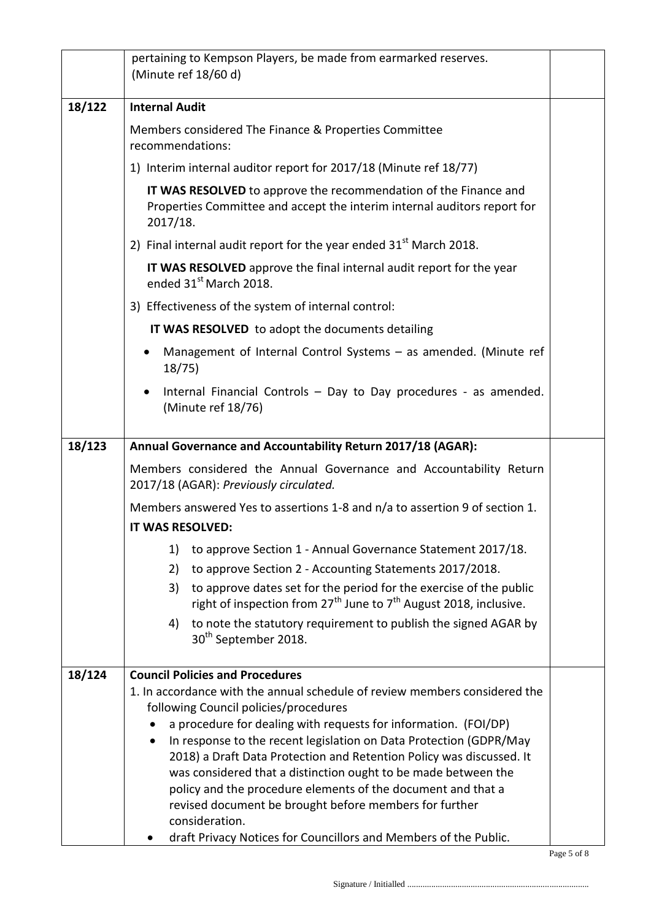|        | pertaining to Kempson Players, be made from earmarked reserves.<br>(Minute ref 18/60 d)                                                                  |  |  |
|--------|----------------------------------------------------------------------------------------------------------------------------------------------------------|--|--|
| 18/122 | <b>Internal Audit</b>                                                                                                                                    |  |  |
|        | Members considered The Finance & Properties Committee<br>recommendations:                                                                                |  |  |
|        | 1) Interim internal auditor report for 2017/18 (Minute ref 18/77)                                                                                        |  |  |
|        | IT WAS RESOLVED to approve the recommendation of the Finance and<br>Properties Committee and accept the interim internal auditors report for<br>2017/18. |  |  |
|        | 2) Final internal audit report for the year ended $31st$ March 2018.                                                                                     |  |  |
|        | IT WAS RESOLVED approve the final internal audit report for the year<br>ended 31 <sup>st</sup> March 2018.                                               |  |  |
|        | 3) Effectiveness of the system of internal control:                                                                                                      |  |  |
|        | IT WAS RESOLVED to adopt the documents detailing                                                                                                         |  |  |
|        | Management of Internal Control Systems - as amended. (Minute ref<br>18/75                                                                                |  |  |
|        | Internal Financial Controls - Day to Day procedures - as amended.<br>(Minute ref 18/76)                                                                  |  |  |
| 18/123 | Annual Governance and Accountability Return 2017/18 (AGAR):                                                                                              |  |  |
|        | Members considered the Annual Governance and Accountability Return<br>2017/18 (AGAR): Previously circulated.                                             |  |  |
|        | Members answered Yes to assertions 1-8 and n/a to assertion 9 of section 1.                                                                              |  |  |
|        | IT WAS RESOLVED:                                                                                                                                         |  |  |
|        | to approve Section 1 - Annual Governance Statement 2017/18.<br>1)<br>to approve Section 2 - Accounting Statements 2017/2018.<br>2)                       |  |  |
|        | to approve dates set for the period for the exercise of the public<br>3)<br>right of inspection from $27^{th}$ June to $7^{th}$ August 2018, inclusive.  |  |  |
|        | to note the statutory requirement to publish the signed AGAR by<br>4)<br>30 <sup>th</sup> September 2018.                                                |  |  |
| 18/124 | <b>Council Policies and Procedures</b>                                                                                                                   |  |  |
|        | 1. In accordance with the annual schedule of review members considered the                                                                               |  |  |
|        | following Council policies/procedures<br>a procedure for dealing with requests for information. (FOI/DP)                                                 |  |  |
|        | In response to the recent legislation on Data Protection (GDPR/May<br>٠                                                                                  |  |  |
|        | 2018) a Draft Data Protection and Retention Policy was discussed. It                                                                                     |  |  |
|        | was considered that a distinction ought to be made between the                                                                                           |  |  |
|        | policy and the procedure elements of the document and that a<br>revised document be brought before members for further                                   |  |  |
|        | consideration.                                                                                                                                           |  |  |
|        | draft Privacy Notices for Councillors and Members of the Public.                                                                                         |  |  |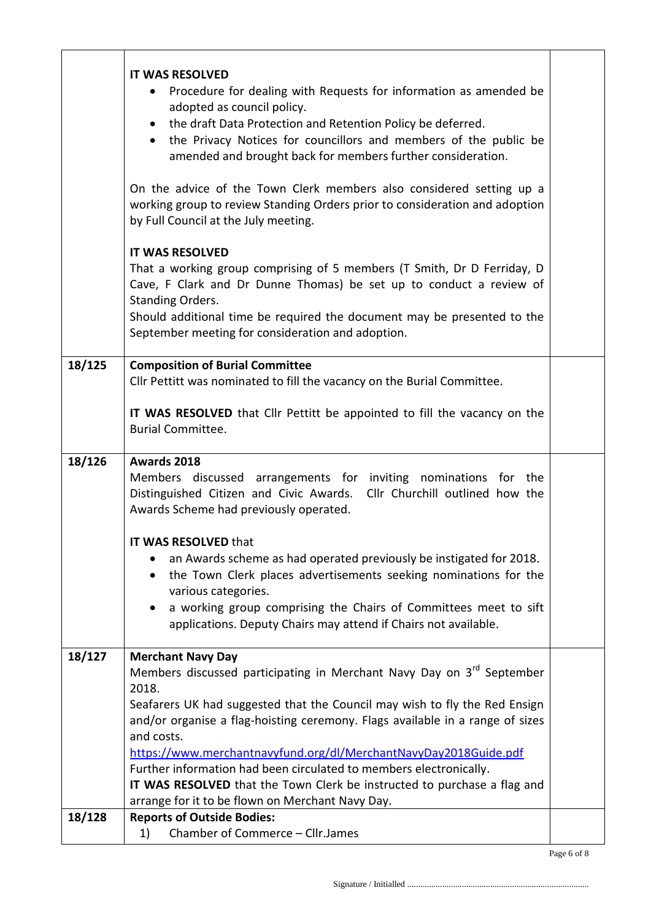|        | <b>IT WAS RESOLVED</b><br>Procedure for dealing with Requests for information as amended be<br>$\bullet$<br>adopted as council policy.<br>the draft Data Protection and Retention Policy be deferred.<br>$\bullet$<br>the Privacy Notices for councillors and members of the public be<br>$\bullet$<br>amended and brought back for members further consideration.  |  |
|--------|---------------------------------------------------------------------------------------------------------------------------------------------------------------------------------------------------------------------------------------------------------------------------------------------------------------------------------------------------------------------|--|
|        | On the advice of the Town Clerk members also considered setting up a<br>working group to review Standing Orders prior to consideration and adoption<br>by Full Council at the July meeting.                                                                                                                                                                         |  |
|        | <b>IT WAS RESOLVED</b><br>That a working group comprising of 5 members (T Smith, Dr D Ferriday, D<br>Cave, F Clark and Dr Dunne Thomas) be set up to conduct a review of<br><b>Standing Orders.</b><br>Should additional time be required the document may be presented to the<br>September meeting for consideration and adoption.                                 |  |
| 18/125 | <b>Composition of Burial Committee</b><br>Cllr Pettitt was nominated to fill the vacancy on the Burial Committee.                                                                                                                                                                                                                                                   |  |
|        | IT WAS RESOLVED that Cllr Pettitt be appointed to fill the vacancy on the<br><b>Burial Committee.</b>                                                                                                                                                                                                                                                               |  |
| 18/126 | Awards 2018<br>Members discussed arrangements for inviting nominations for the<br>Cllr Churchill outlined how the<br>Distinguished Citizen and Civic Awards.<br>Awards Scheme had previously operated.                                                                                                                                                              |  |
|        | <b>IT WAS RESOLVED that</b><br>an Awards scheme as had operated previously be instigated for 2018.<br>٠<br>the Town Clerk places advertisements seeking nominations for the<br>$\bullet$<br>various categories.<br>a working group comprising the Chairs of Committees meet to sift<br>$\bullet$<br>applications. Deputy Chairs may attend if Chairs not available. |  |
| 18/127 | <b>Merchant Navy Day</b><br>Members discussed participating in Merchant Navy Day on 3 <sup>rd</sup> September                                                                                                                                                                                                                                                       |  |
|        | 2018.<br>Seafarers UK had suggested that the Council may wish to fly the Red Ensign<br>and/or organise a flag-hoisting ceremony. Flags available in a range of sizes<br>and costs.<br>https://www.merchantnavyfund.org/dl/MerchantNavyDay2018Guide.pdf<br>Further information had been circulated to members electronically.                                        |  |
|        | IT WAS RESOLVED that the Town Clerk be instructed to purchase a flag and<br>arrange for it to be flown on Merchant Navy Day.                                                                                                                                                                                                                                        |  |
| 18/128 | <b>Reports of Outside Bodies:</b><br>Chamber of Commerce - Cllr.James<br>1)                                                                                                                                                                                                                                                                                         |  |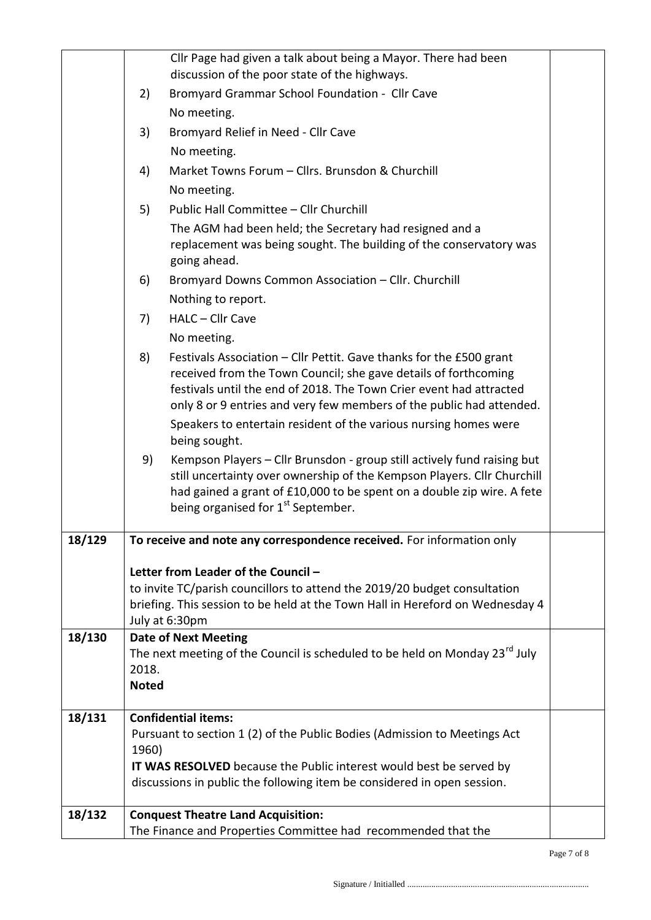|        |              | Cllr Page had given a talk about being a Mayor. There had been                                                                                                                                                                                                                        |  |
|--------|--------------|---------------------------------------------------------------------------------------------------------------------------------------------------------------------------------------------------------------------------------------------------------------------------------------|--|
|        |              | discussion of the poor state of the highways.                                                                                                                                                                                                                                         |  |
|        | 2)           | Bromyard Grammar School Foundation - Cllr Cave                                                                                                                                                                                                                                        |  |
|        |              | No meeting.                                                                                                                                                                                                                                                                           |  |
|        | 3)           | Bromyard Relief in Need - Cllr Cave                                                                                                                                                                                                                                                   |  |
|        |              | No meeting.                                                                                                                                                                                                                                                                           |  |
|        | 4)           | Market Towns Forum - Cllrs. Brunsdon & Churchill                                                                                                                                                                                                                                      |  |
|        |              | No meeting.                                                                                                                                                                                                                                                                           |  |
|        | 5)           | Public Hall Committee - Cllr Churchill                                                                                                                                                                                                                                                |  |
|        |              | The AGM had been held; the Secretary had resigned and a<br>replacement was being sought. The building of the conservatory was<br>going ahead.                                                                                                                                         |  |
|        | 6)           | Bromyard Downs Common Association - Cllr. Churchill                                                                                                                                                                                                                                   |  |
|        |              | Nothing to report.                                                                                                                                                                                                                                                                    |  |
|        | 7)           | HALC - Cllr Cave                                                                                                                                                                                                                                                                      |  |
|        |              | No meeting.                                                                                                                                                                                                                                                                           |  |
|        | 8)           | Festivals Association - Cllr Pettit. Gave thanks for the £500 grant<br>received from the Town Council; she gave details of forthcoming<br>festivals until the end of 2018. The Town Crier event had attracted<br>only 8 or 9 entries and very few members of the public had attended. |  |
|        |              | Speakers to entertain resident of the various nursing homes were<br>being sought.                                                                                                                                                                                                     |  |
|        | 9)           | Kempson Players - Cllr Brunsdon - group still actively fund raising but<br>still uncertainty over ownership of the Kempson Players. Cllr Churchill<br>had gained a grant of £10,000 to be spent on a double zip wire. A fete<br>being organised for 1 <sup>st</sup> September.        |  |
| 18/129 |              | To receive and note any correspondence received. For information only                                                                                                                                                                                                                 |  |
|        |              |                                                                                                                                                                                                                                                                                       |  |
|        |              | Letter from Leader of the Council -                                                                                                                                                                                                                                                   |  |
|        |              | to invite TC/parish councillors to attend the 2019/20 budget consultation<br>briefing. This session to be held at the Town Hall in Hereford on Wednesday 4                                                                                                                            |  |
|        |              | July at 6:30pm                                                                                                                                                                                                                                                                        |  |
| 18/130 |              | <b>Date of Next Meeting</b>                                                                                                                                                                                                                                                           |  |
|        |              | The next meeting of the Council is scheduled to be held on Monday 23 <sup>rd</sup> July                                                                                                                                                                                               |  |
|        | 2018.        |                                                                                                                                                                                                                                                                                       |  |
|        | <b>Noted</b> |                                                                                                                                                                                                                                                                                       |  |
| 18/131 |              | <b>Confidential items:</b>                                                                                                                                                                                                                                                            |  |
|        |              | Pursuant to section 1 (2) of the Public Bodies (Admission to Meetings Act                                                                                                                                                                                                             |  |
|        | 1960)        |                                                                                                                                                                                                                                                                                       |  |
|        |              | IT WAS RESOLVED because the Public interest would best be served by                                                                                                                                                                                                                   |  |
|        |              | discussions in public the following item be considered in open session.                                                                                                                                                                                                               |  |
| 18/132 |              | <b>Conquest Theatre Land Acquisition:</b>                                                                                                                                                                                                                                             |  |
|        |              | The Finance and Properties Committee had recommended that the                                                                                                                                                                                                                         |  |